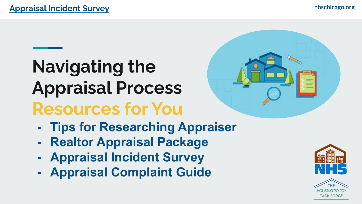# **Navigating the Appraisal Process Resources for You**

- **- Tips for Researching Appraiser**
- **- Realtor Appraisal Package**
- **- Appraisal Incident Survey**
- **- Appraisal Complaint Guide**



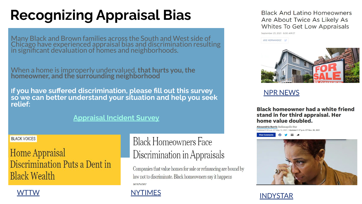## **Recognizing Appraisal Bias**

Many Black and Brown families across the South and West side of Chicago have experienced appraisal bias and discrimination resulting in significant devaluation of homes and neighborhoods.

When a home is improperly undervalued, **that hurts you, the homeowner, and the surrounding neighborhood**

**If you have suffered discrimination, please fill out this survey so we can better understand your situation and help you seek relief:** 

#### **[Appraisal Incident Survey](https://www.chicagorehab.org/advocacy/appraisal-equity-campaign)**

#### **BLACK VOICES**

### **Home Appraisal** Discrimination Puts a Dent in **Black Wealth**

### **Black Homeowners Face** Discrimination in Appraisals

Companies that value homes for sale or refinancing are bound by law not to discriminate. Black homeowners say it happens anyway

#### [WTTW](https://news.wttw.com/2021/10/16/home-appraisal-discrimination-puts-dent-black-wealth) [NYTIMES](https://www.nytimes.com/2020/08/25/realestate/blacks-minorities-appraisals-discrimination.html)

Black And Latino Homeowners Are About Twice As Likely As Whites To Get Low Appraisals

September 23, 2021 - 6:00 AM ET

#### JOE HERNANDEZ



#### [NPR NEWS](https://www.npr.org/2021/09/23/1039771981/black-latino-homeownership-real-estate-wealth-disparities-appraisals-undervalue)

#### Black homeowner had a white friend stand in for third appraisal. Her home value doubled.

Alexandria Burris Indianapolis Star ished 5:53 a.m. ET May 13, 2021 | Updated 1:17 p.m. ET Nov. 26, 2021

 $\blacksquare$ 



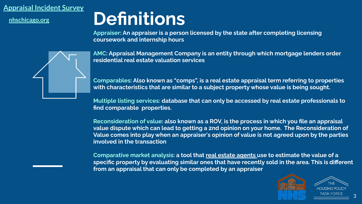**nhschicago.org**

## **Definitions**

**Appraiser: An appraiser is a person licensed by the state after completing licensing coursework and internship hours**

**AMC: Appraisal Management Company is an entity through which mortgage lenders order residential real estate valuation services**

**Comparables: Also known as "comps", is a real estate appraisal term referring to properties with characteristics that are similar to a subject property whose value is being sought.**

**Multiple listing services: database that can only be accessed by real estate professionals to find comparable properties.** 

**Reconsideration of value: also known as a ROV, is the process in which you file an appraisal value dispute which can lead to getting a 2nd opinion on your home. The Reconsideration of Value comes into play when an appraiser's opinion of value is not agreed upon by the parties involved in the transaction**

**Comparative market analysis: a tool that real estate agents use to estimate the value of a specific property by evaluating similar ones that have recently sold in the area. This is different from an appraisal that can only be completed by an appraiser** 



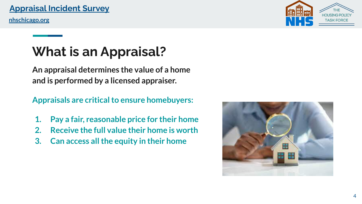**nhschicago.org**

### **What is an Appraisal?**

**An appraisal determines the value of a home and is performed by a licensed appraiser.**

**Appraisals are critical to ensure homebuyers:** 

- **1. Pay a fair, reasonable price for their home**
- **2. Receive the full value their home is worth**
- **3. Can access all the equity in their home**



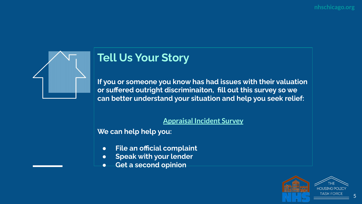

### **Tell Us Your Story**

**If you or someone you know has had issues with their valuation or suffered outright discriminaiton, fill out this survey so we can better understand your situation and help you seek relief:** 

#### **[Appraisal Incident Survey](https://www.chicagorehab.org/advocacy/appraisal-equity-campaign)**

**We can help help you:**

- **● File an official complaint**
- **● Speak with your lender**
- **● Get a second opinion**

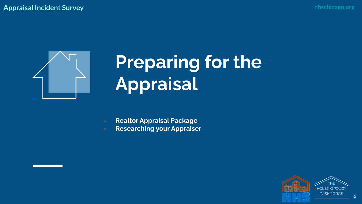

# **Preparing for the Appraisal**

- **- Realtor Appraisal Package**
- **- Researching your Appraiser**

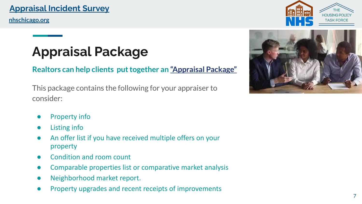**nhschicago.org**

## **Appraisal Package**

**Realtors can help clients put together an ["Appraisal Package"](https://www.illinoisrealtors.org/wp-content/uploads/2021/07/8.5x11_IllinoisRealtors_SampleAppraisersPackage_2021-1.pdf)**

This package contains the following for your appraiser to consider:

- Property info
- Listing info
- An offer list if you have received multiple offers on your property
- Condition and room count
- Comparable properties list or comparative market analysis
- Neighborhood market report.
- Property upgrades and recent receipts of improvements



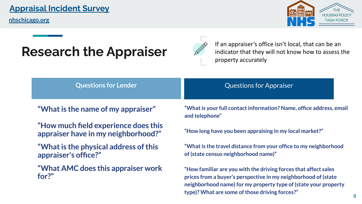**nhschicago.org**



### **Research the Appraiser**



If an appraiser's office isn't local, that can be an indicator that they will not know how to assess the property accurately

| <b>Questions for Lender</b> |  |
|-----------------------------|--|
|                             |  |
|                             |  |

**"What is the name of my appraiser"**

- **"How much field experience does this appraiser have in my neighborhood?"**
- **"What is the physical address of this appraiser's office?"**

**"What AMC does this appraiser work for?"** 

**"What is your full contact information? Name, office address, email and telephone"**

**Questions for Appraiser** 

**"How long have you been appraising in my local market?"**

**"What is the travel distance from your office to my neighborhood of (state census neighborhood name)"**

**"How familiar are you with the driving forces that affect sales prices from a buyer's perspective in my neighborhood of (state neighborhood name) for my property type of (state your property type)? What are some of those driving forces?"**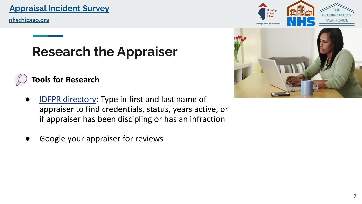**nhschicago.org**

### **Research the Appraiser**

### **Tools for Research**

- **[IDFPR directory](https://online-dfpr.micropact.com/lookup/licenselookup.aspx): Type in first and last name of** appraiser to find credentials, status, years active, or if appraiser has been discipling or has an infraction
- Google your appraiser for reviews



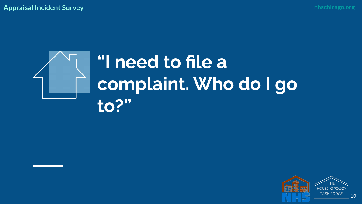

# **"I need to file a complaint. Who do I go to?"**

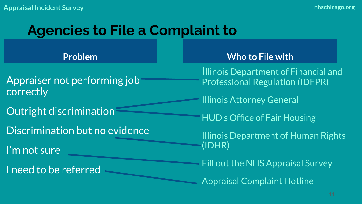### **Agencies to File a Complaint to**

**Problem**

Appraiser not performing job correctly

Outright discrimination

Discrimination but no evidence

I'm not sure

I need to be referred

**Who to File with** 

Illinois Department of Financial and Professional Regulation (IDFPR)

Illinois Attorney General

HUD's Office of Fair Housing

Illinois Department of Human Rights (IDHR)

Fill out the NHS Appraisal Survey

Appraisal Complaint Hotline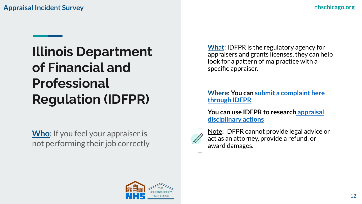## **Illinois Department of Financial and Professional Regulation (IDFPR)**

**Who**: If you feel your appraiser is not performing their job correctly **What:** IDFPR is the regulatory agency for appraisers and grants licenses, they can help look for a pattern of malpractice with a specific appraiser.

**Where: You can [submit a complaint here](https://www.idfpr.com/realestate/Forms/AMCComplaint.pdf) [through IDFPR](https://www.idfpr.com/realestate/Forms/AMCComplaint.pdf)**

**You can use IDFPR to researc[h appraisal](https://www.idfpr.com/DRE/APPDISP/REAPPDIS.asp) [disciplinary actions](https://www.idfpr.com/DRE/APPDISP/REAPPDIS.asp)**



Note: IDFPR cannot provide legal advice or act as an attorney, provide a refund, or award damages.

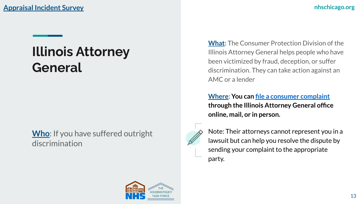### **Illinois Attorney General**

**Who**: If you have suffered outright discrimination

**What:** The Consumer Protection Division of the Illinois Attorney General helps people who have been victimized by fraud, deception, or suffer discrimination. They can take action against an AMC or a lender

**Where: You can [file a consumer complaint](https://www.illinoisattorneygeneral.gov/consumers/filecomplaint.html) through the Illinois Attorney General office online, mail, or in person.** 



Note: Their attorneys cannot represent you in a lawsuit but can help you resolve the dispute by sending your complaint to the appropriate party.

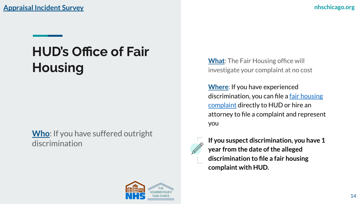## **HUD's Office of Fair Housing**

**Who**: If you have suffered outright discrimination

**What**: The Fair Housing office will investigate your complaint at no cost

**Where**: If you have experienced discrimination, you can file a [fair housing](https://www.hud.gov/program_offices/fair_housing_equal_opp/online-complaint) [complaint](https://www.hud.gov/program_offices/fair_housing_equal_opp/online-complaint) directly to HUD or hire an attorney to file a complaint and represent you



**If you suspect discrimination, you have 1 year from the date of the alleged discrimination to file a fair housing complaint with HUD.**

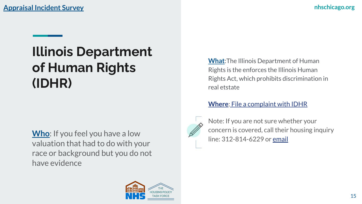## **Illinois Department of Human Rights (IDHR)**

**Who**: If you feel you have a low valuation that had to do with your race or background but you do not have evidence

**What**:The Illinois Department of Human Rights is the enforces the Illinois Human Rights Act, which prohibits discrimination in real etstate

#### **Where**: [File a complaint with IDHR](https://www2.illinois.gov/dhr/FilingaCharge/Pages/FAQ_Section_VI.aspx)



Note: If you are not sure whether your concern is covered, call their housing inquiry line: 312-814-6229 or [email](mailto:IDHR.FairHousing@illinois.gov)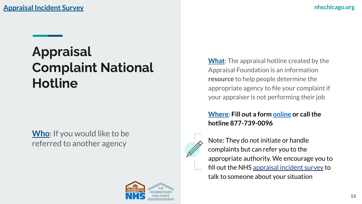**[Appraisal Incident Survey](https://www.chicagorehab.org/advocacy/appraisal-equity-campaign) nhschicago.org** 

### **Appraisal Complaint National Hotline**

**Who**: If you would like to be referred to another agency

**What**: The appraisal hotline created by the Appraisal Foundation is an information **resource** to help people determine the appropriate agency to file your complaint if your appraiser is not performing their job

#### **Where: Fill out a form [online](https://refermyappraisalcomplaint.asc.gov/default.aspx) or call the hotline 877-739-0096**



Note: They do not initiate or handle complaints but can refer you to the appropriate authority. We encourage you to fill out the NHS [appraisal incident survey](https://www.chicagorehab.org/advocacy/appraisal-equity-campaign) to talk to someone about your situation